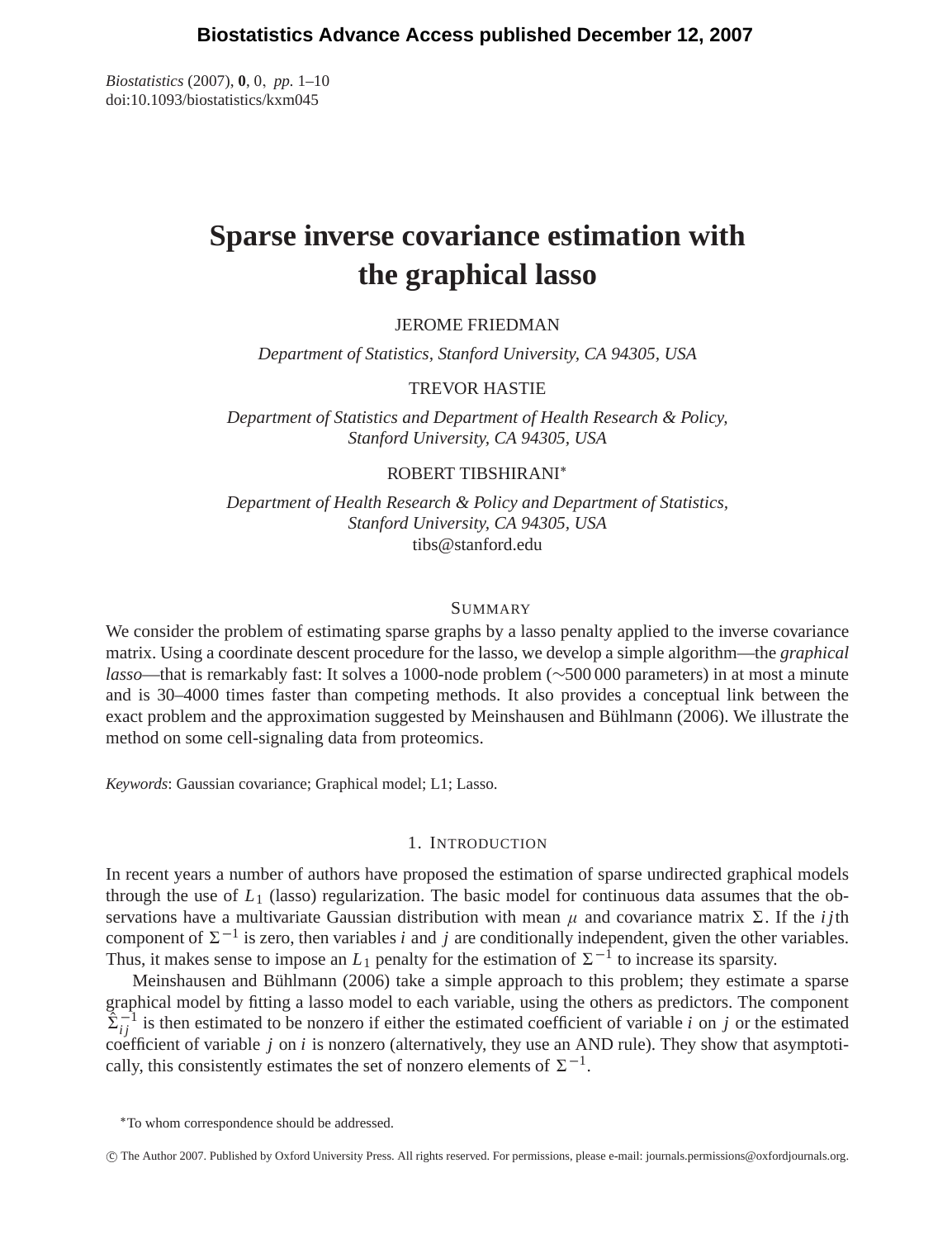*Biostatistics* (2007), **0**, 0, *pp.* 1–10 doi:10.1093/biostatistics/kxm045

# **Sparse inverse covariance estimation with the graphical lasso**

# JEROME FRIEDMAN

*Department of Statistics, Stanford University, CA 94305, USA*

# TREVOR HASTIE

*Department of Statistics and Department of Health Research & Policy, Stanford University, CA 94305, USA*

## ROBERT TIBSHIRANI∗

*Department of Health Research & Policy and Department of Statistics, Stanford University, CA 94305, USA* tibs@stanford.edu

## SUMMARY

We consider the problem of estimating sparse graphs by a lasso penalty applied to the inverse covariance matrix. Using a coordinate descent procedure for the lasso, we develop a simple algorithm—the *graphical lasso*—that is remarkably fast: It solves a 1000-node problem (∼500 000 parameters) in at most a minute and is 30–4000 times faster than competing methods. It also provides a conceptual link between the exact problem and the approximation suggested by Meinshausen and Bühlmann (2006). We illustrate the method on some cell-signaling data from proteomics.

*Keywords*: Gaussian covariance; Graphical model; L1; Lasso.

## 1. INTRODUCTION

In recent years a number of authors have proposed the estimation of sparse undirected graphical models through the use of  $L_1$  (lasso) regularization. The basic model for continuous data assumes that the observations have a multivariate Gaussian distribution with mean  $\mu$  and covariance matrix  $\Sigma$ . If the *ij*th component of  $\Sigma^{-1}$  is zero, then variables *i* and *j* are conditionally independent, given the other variables. Thus, it makes sense to impose an  $L_1$  penalty for the estimation of  $\Sigma^{-1}$  to increase its sparsity.

Meinshausen and Bühlmann (2006) take a simple approach to this problem; they estimate a sparse graphical model by fitting a lasso model to each variable, using the others as predictors. The component  $\sum_{i}^{-1}$  is then estimated to be nonzero if either the estimated coefficient of variable *i* on *j* or the estimated coefficient of variable *j* on *i* is nonzero (alternatively, they use an AND rule). They show that asymptotically, this consistently estimates the set of nonzero elements of  $\Sigma^{-1}$ .

c The Author 2007. Published by Oxford University Press. All rights reserved. For permissions, please e-mail: journals.permissions@oxfordjournals.org.

<sup>∗</sup>To whom correspondence should be addressed.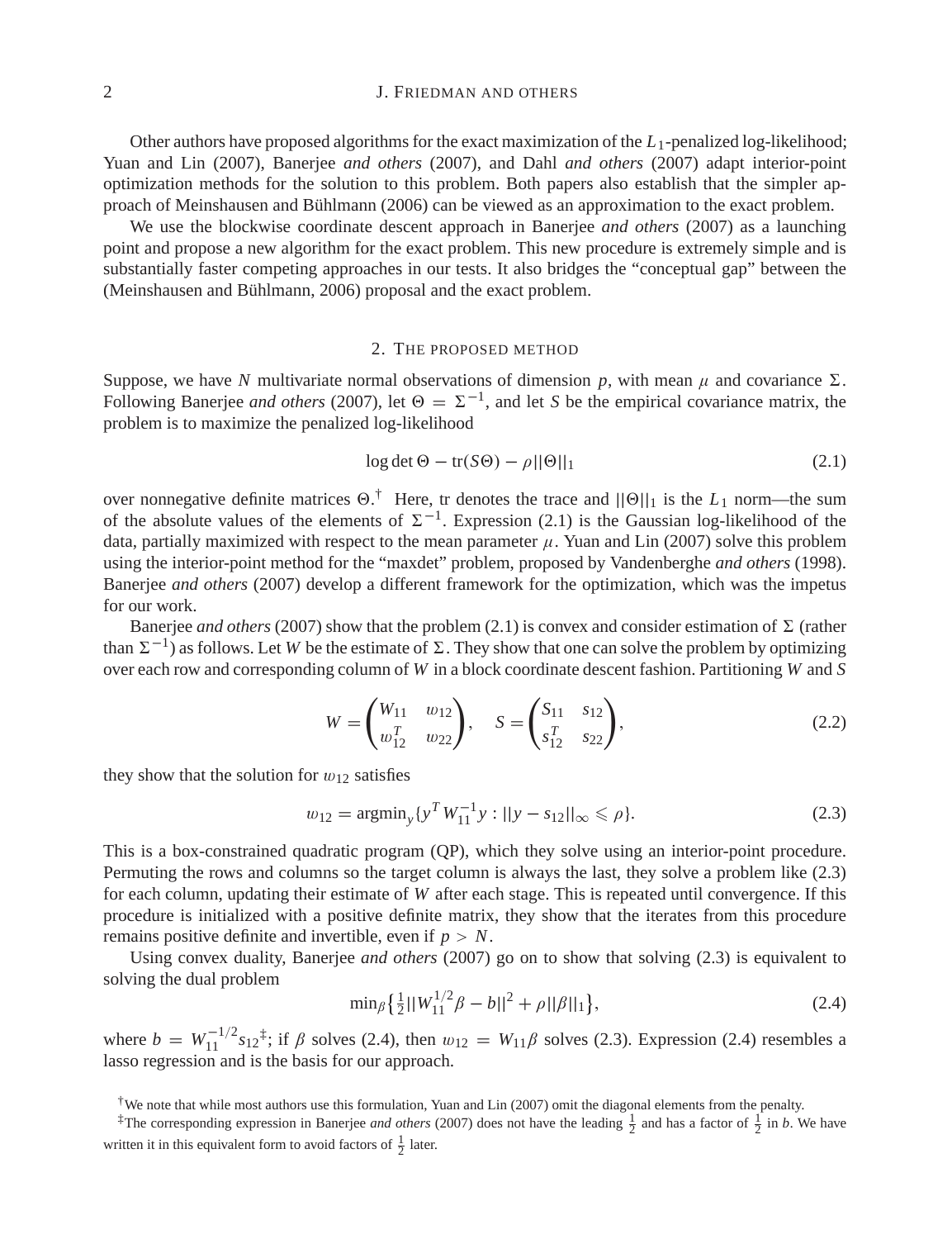# 2 **J. FRIEDMAN AND OTHERS**

Other authors have proposed algorithms for the exact maximization of the *L*1-penalized log-likelihood; Yuan and Lin (2007), Banerjee *and others* (2007), and Dahl *and others* (2007) adapt interior-point optimization methods for the solution to this problem. Both papers also establish that the simpler approach of Meinshausen and Bühlmann (2006) can be viewed as an approximation to the exact problem.

We use the blockwise coordinate descent approach in Banerjee *and others* (2007) as a launching point and propose a new algorithm for the exact problem. This new procedure is extremely simple and is substantially faster competing approaches in our tests. It also bridges the "conceptual gap" between the (Meinshausen and Bühlmann, 2006) proposal and the exact problem.

#### 2. THE PROPOSED METHOD

Suppose, we have *N* multivariate normal observations of dimension p, with mean  $\mu$  and covariance  $\Sigma$ . Following Banerjee *and others* (2007), let  $\Theta = \Sigma^{-1}$ , and let *S* be the empirical covariance matrix, the problem is to maximize the penalized log-likelihood

$$
\log \det \Theta - \text{tr}(S\Theta) - \rho ||\Theta||_1 \tag{2.1}
$$

over nonnegative definite matrices  $\Theta$ .<sup>†</sup> Here, tr denotes the trace and  $||\Theta||_1$  is the  $L_1$  norm—the sum of the absolute values of the elements of  $\Sigma^{-1}$ . Expression (2.1) is the Gaussian log-likelihood of the data, partially maximized with respect to the mean parameter  $\mu$ . Yuan and Lin (2007) solve this problem using the interior-point method for the "maxdet" problem, proposed by Vandenberghe *and others* (1998). Banerjee *and others* (2007) develop a different framework for the optimization, which was the impetus for our work.

Banerjee *and others* (2007) show that the problem (2.1) is convex and consider estimation of  $\Sigma$  (rather than  $\Sigma^{-1}$ ) as follows. Let *W* be the estimate of  $\Sigma$ . They show that one can solve the problem by optimizing over each row and corresponding column of *W* in a block coordinate descent fashion. Partitioning *W* and *S*

$$
W = \begin{pmatrix} W_{11} & w_{12} \\ w_{12}^T & w_{22} \end{pmatrix}, \quad S = \begin{pmatrix} S_{11} & s_{12} \\ s_{12}^T & s_{22} \end{pmatrix}, \tag{2.2}
$$

they show that the solution for  $w_{12}$  satisfies

$$
w_{12} = \operatorname{argmin}_{y} \{ y^T W_{11}^{-1} y : ||y - s_{12}||_{\infty} \le \rho \}. \tag{2.3}
$$

This is a box-constrained quadratic program (QP), which they solve using an interior-point procedure. Permuting the rows and columns so the target column is always the last, they solve a problem like (2.3) for each column, updating their estimate of *W* after each stage. This is repeated until convergence. If this procedure is initialized with a positive definite matrix, they show that the iterates from this procedure remains positive definite and invertible, even if *p* > *N*.

Using convex duality, Banerjee *and others* (2007) go on to show that solving (2.3) is equivalent to solving the dual problem

$$
\min_{\beta} \left\{ \frac{1}{2} ||W_{11}^{1/2}\beta - b||^2 + \rho ||\beta||_1 \right\},\tag{2.4}
$$

where  $b = W_{11}^{-1/2} s_{12}^{\dagger}$ ; if  $\beta$  solves (2.4), then  $w_{12} = W_{11}\beta$  solves (2.3). Expression (2.4) resembles a lasso regression and is the basis for our approach.

<sup>†</sup>We note that while most authors use this formulation, Yuan and Lin (2007) omit the diagonal elements from the penalty.

<sup>&</sup>lt;sup> $\ddag$ </sup>The corresponding expression in Banerjee *and others* (2007) does not have the leading  $\frac{1}{2}$  and has a factor of  $\frac{1}{2}$  in *b*. We have written it in this equivalent form to avoid factors of  $\frac{1}{2}$  later.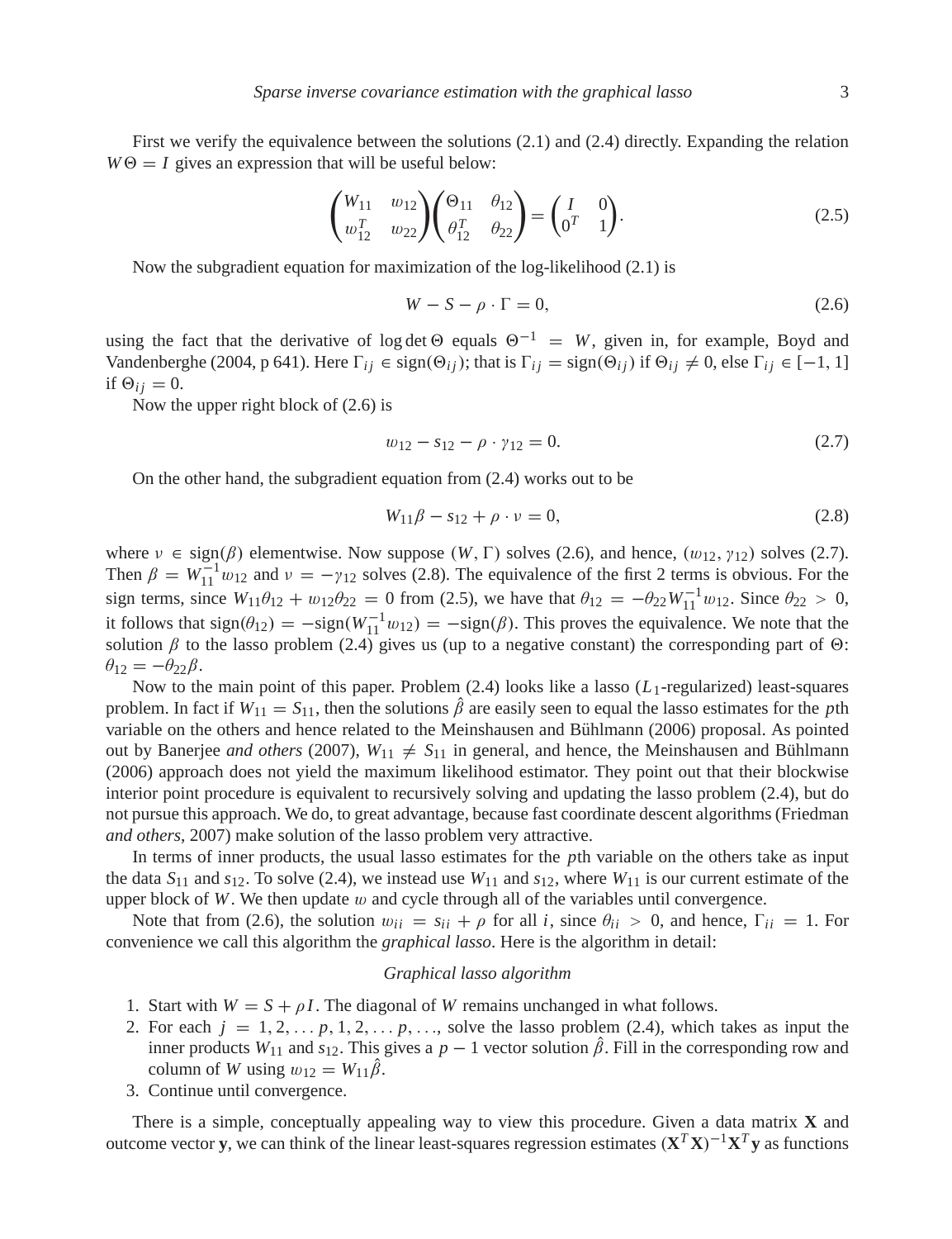First we verify the equivalence between the solutions (2.1) and (2.4) directly. Expanding the relation  $W\Theta = I$  gives an expression that will be useful below:

$$
\begin{pmatrix} W_{11} & w_{12} \\ w_{12}^T & w_{22} \end{pmatrix} \begin{pmatrix} \Theta_{11} & \theta_{12} \\ \theta_{12}^T & \theta_{22} \end{pmatrix} = \begin{pmatrix} I & 0 \\ 0^T & 1 \end{pmatrix}.
$$
 (2.5)

Now the subgradient equation for maximization of the log-likelihood (2.1) is

$$
W - S - \rho \cdot \Gamma = 0,\tag{2.6}
$$

using the fact that the derivative of log det  $\Theta$  equals  $\Theta^{-1} = W$ , given in, for example, Boyd and Vandenberghe (2004, p 641). Here  $\Gamma_{ij} \in \text{sign}(\Theta_{ij})$ ; that is  $\Gamma_{ij} = \text{sign}(\Theta_{ij})$  if  $\Theta_{ij} \neq 0$ , else  $\Gamma_{ij} \in [-1, 1]$ if  $\Theta_{ij} = 0$ .

Now the upper right block of (2.6) is

$$
w_{12} - s_{12} - \rho \cdot \gamma_{12} = 0. \tag{2.7}
$$

On the other hand, the subgradient equation from (2.4) works out to be

$$
W_{11}\beta - s_{12} + \rho \cdot \nu = 0,\tag{2.8}
$$

where  $\nu \in \text{sign}(\beta)$  elementwise. Now suppose  $(W, \Gamma)$  solves (2.6), and hence,  $(w_{12}, \gamma_{12})$  solves (2.7). Then  $\beta = W_{11}^{-1} w_{12}$  and  $\nu = -\gamma_{12}$  solves (2.8). The equivalence of the first 2 terms is obvious. For the sign terms, since  $W_{11}\theta_{12} + w_{12}\theta_{22} = 0$  from (2.5), we have that  $\theta_{12} = -\theta_{22}W_{11}^{-1}w_{12}$ . Since  $\theta_{22} > 0$ , it follows that  $sign(\theta_{12}) = -sign(W_{11}^{-1}w_{12}) = -sign(\beta)$ . This proves the equivalence. We note that the solution  $\beta$  to the lasso problem (2.4) gives us (up to a negative constant) the corresponding part of  $\Theta$ :  $\theta_{12} = -\theta_{22}\beta$ .

Now to the main point of this paper. Problem (2.4) looks like a lasso (*L*1-regularized) least-squares problem. In fact if  $W_{11} = S_{11}$ , then the solutions  $\hat{\beta}$  are easily seen to equal the lasso estimates for the *p*th variable on the others and hence related to the Meinshausen and Bühlmann (2006) proposal. As pointed out by Banerjee *and others* (2007),  $W_{11} \neq S_{11}$  in general, and hence, the Meinshausen and Bühlmann (2006) approach does not yield the maximum likelihood estimator. They point out that their blockwise interior point procedure is equivalent to recursively solving and updating the lasso problem (2.4), but do not pursue this approach. We do, to great advantage, because fast coordinate descent algorithms (Friedman *and others*, 2007) make solution of the lasso problem very attractive.

In terms of inner products, the usual lasso estimates for the *p*th variable on the others take as input the data  $S_{11}$  and  $s_{12}$ . To solve (2.4), we instead use  $W_{11}$  and  $s_{12}$ , where  $W_{11}$  is our current estimate of the upper block of  $W$ . We then update  $w$  and cycle through all of the variables until convergence.

Note that from (2.6), the solution  $w_{ii} = s_{ii} + \rho$  for all *i*, since  $\theta_{ii} > 0$ , and hence,  $\Gamma_{ii} = 1$ . For convenience we call this algorithm the *graphical lasso*. Here is the algorithm in detail:

#### *Graphical lasso algorithm*

- 1. Start with  $W = S + \rho I$ . The diagonal of *W* remains unchanged in what follows.
- 2. For each  $j = 1, 2, \ldots, p, 1, 2, \ldots, p, \ldots$ , solve the lasso problem (2.4), which takes as input the inner products  $W_{11}$  and  $s_{12}$ . This gives a  $p - 1$  vector solution  $\hat{\beta}$ . Fill in the corresponding row and column of *W* using  $w_{12} = W_{11} \hat{\beta}$ .
- 3. Continue until convergence.

There is a simple, conceptually appealing way to view this procedure. Given a data matrix **X** and outcome vector **y**, we can think of the linear least-squares regression estimates (**X***<sup>T</sup>* **X**)−1**X***<sup>T</sup>* **y** as functions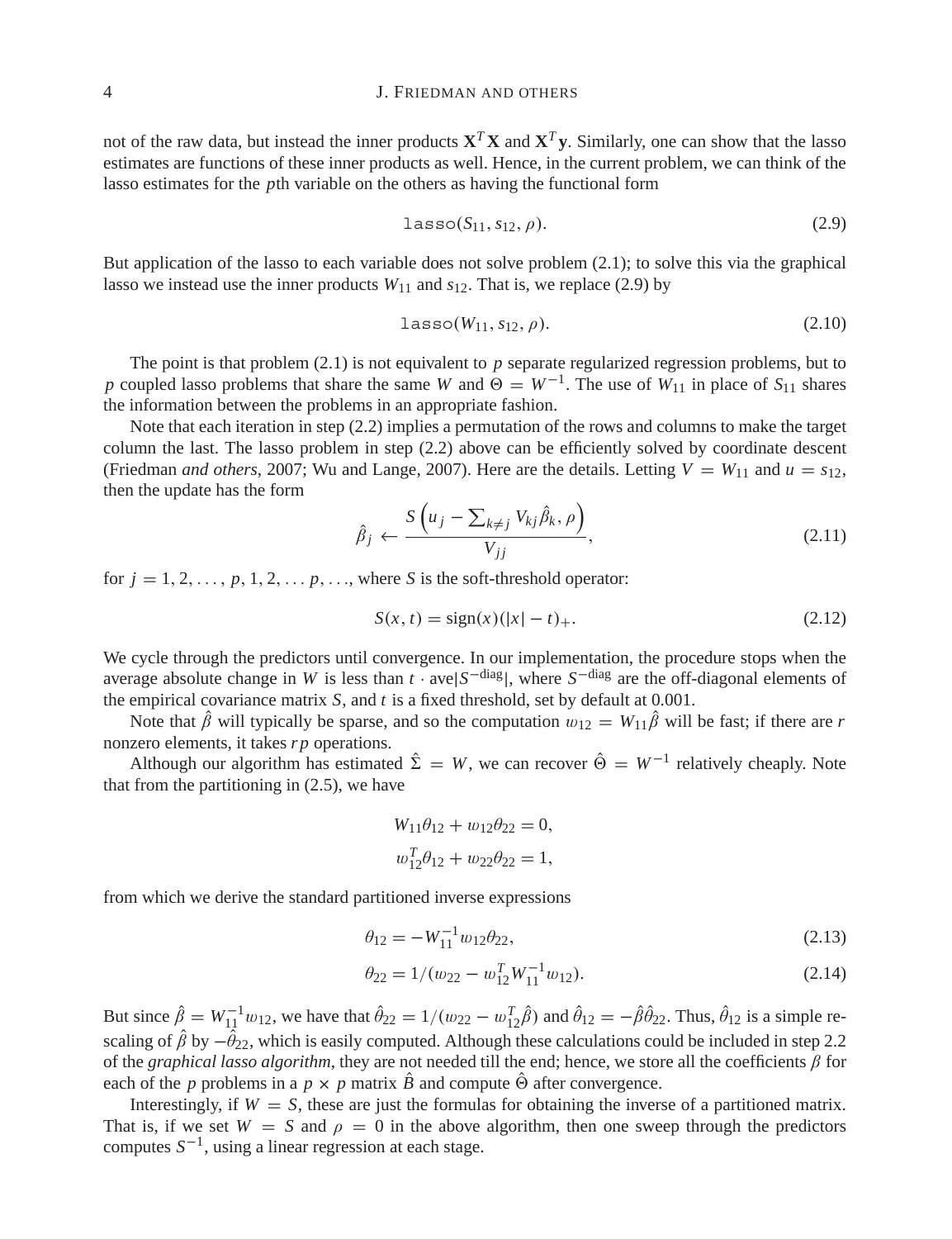## 4 J. FRIEDMAN AND OTHERS

not of the raw data, but instead the inner products  $X^T X$  and  $X^T y$ . Similarly, one can show that the lasso estimates are functions of these inner products as well. Hence, in the current problem, we can think of the lasso estimates for the *p*th variable on the others as having the functional form

$$
lasso(S11, s12, \rho).
$$
 (2.9)

But application of the lasso to each variable does not solve problem (2.1); to solve this via the graphical lasso we instead use the inner products  $W_{11}$  and  $s_{12}$ . That is, we replace (2.9) by

$$
lasso(W_{11}, s_{12}, \rho). \tag{2.10}
$$

The point is that problem (2.1) is not equivalent to *p* separate regularized regression problems, but to *p* coupled lasso problems that share the same *W* and  $\Theta = W^{-1}$ . The use of *W*<sub>11</sub> in place of *S*<sub>11</sub> shares the information between the problems in an appropriate fashion.

Note that each iteration in step (2.2) implies a permutation of the rows and columns to make the target column the last. The lasso problem in step (2.2) above can be efficiently solved by coordinate descent (Friedman *and others*, 2007; Wu and Lange, 2007). Here are the details. Letting  $V = W_{11}$  and  $u = s_{12}$ , then the update has the form

$$
\hat{\beta}_j \leftarrow \frac{S\left(u_j - \sum_{k \neq j} V_{kj} \hat{\beta}_k, \rho\right)}{V_{jj}},\tag{2.11}
$$

for  $j = 1, 2, \ldots, p, 1, 2, \ldots, p, \ldots$ , where *S* is the soft-threshold operator:

$$
S(x, t) = sign(x)(|x| - t) +.
$$
\n(2.12)

We cycle through the predictors until convergence. In our implementation, the procedure stops when the average absolute change in *W* is less than *t* · ave|*S*<sup>−diag</sup>|, where *S*<sup>−diag</sup> are the off-diagonal elements of the empirical covariance matrix *S*, and *t* is a fixed threshold, set by default at 0.001.

Note that  $\hat{\beta}$  will typically be sparse, and so the computation  $w_{12} = W_{11}\hat{\beta}$  will be fast; if there are *r* nonzero elements, it takes *r p* operations.

Although our algorithm has estimated  $\hat{\Sigma} = W$ , we can recover  $\hat{\Theta} = W^{-1}$  relatively cheaply. Note that from the partitioning in (2.5), we have

$$
W_{11}\theta_{12} + w_{12}\theta_{22} = 0,
$$
  

$$
w_{12}^T \theta_{12} + w_{22}\theta_{22} = 1,
$$

from which we derive the standard partitioned inverse expressions

$$
\theta_{12} = -W_{11}^{-1} w_{12} \theta_{22},\tag{2.13}
$$

$$
\theta_{22} = 1/(w_{22} - w_{12}^T W_{11}^{-1} w_{12}).
$$
\n(2.14)

But since  $\hat{\beta} = W_{11}^{-1} w_{12}$ , we have that  $\hat{\theta}_{22} = 1/(w_{22} - w_{12}^T \hat{\beta})$  and  $\hat{\theta}_{12} = -\hat{\beta} \hat{\theta}_{22}$ . Thus,  $\hat{\theta}_{12}$  is a simple rescaling of  $\beta$  by  $-\theta_{22}$ , which is easily computed. Although these calculations could be included in step 2.2 of the *graphical lasso algorithm*, they are not needed till the end; hence, we store all the coefficients  $\beta$  for each of the *p* problems in a  $p \times p$  matrix *B* and compute  $\Theta$  after convergence.

Interestingly, if  $W = S$ , these are just the formulas for obtaining the inverse of a partitioned matrix. That is, if we set  $W = S$  and  $\rho = 0$  in the above algorithm, then one sweep through the predictors computes *S*−1, using a linear regression at each stage.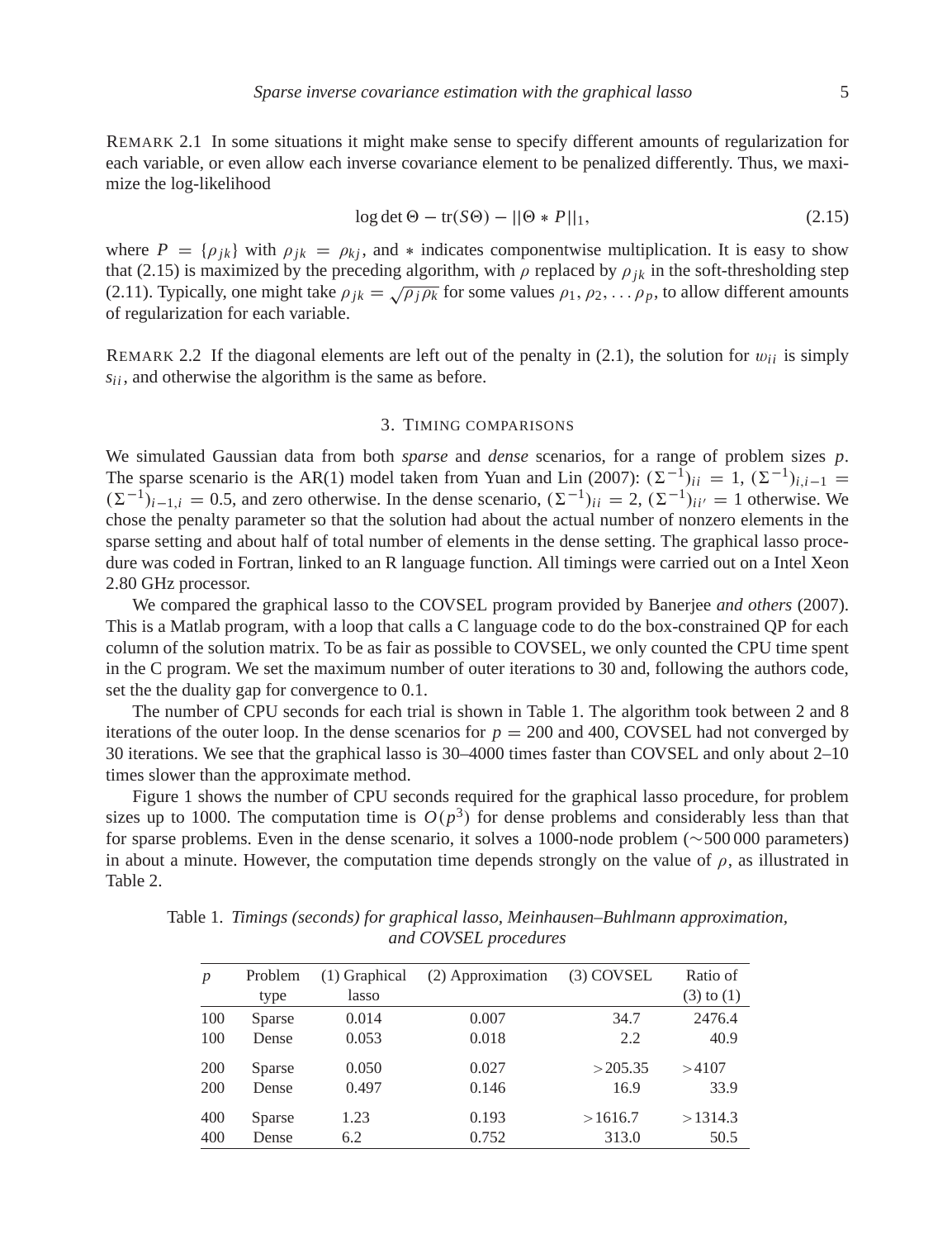REMARK 2.1 In some situations it might make sense to specify different amounts of regularization for each variable, or even allow each inverse covariance element to be penalized differently. Thus, we maximize the log-likelihood

$$
\log \det \Theta - \text{tr}(S\Theta) - ||\Theta * P||_1,\tag{2.15}
$$

where  $P = \{\rho_{jk}\}\$  with  $\rho_{jk} = \rho_{kj}$ , and  $*$  indicates componentwise multiplication. It is easy to show that (2.15) is maximized by the preceding algorithm, with  $\rho$  replaced by  $\rho_{ik}$  in the soft-thresholding step (2.11). Typically, one might take  $\rho_{jk} = \sqrt{\rho_j \rho_k}$  for some values  $\rho_1, \rho_2, \ldots, \rho_p$ , to allow different amounts of regularization for each variable.

REMARK 2.2 If the diagonal elements are left out of the penalty in  $(2.1)$ , the solution for  $w_{ii}$  is simply *sii* , and otherwise the algorithm is the same as before.

## 3. TIMING COMPARISONS

We simulated Gaussian data from both *sparse* and *dense* scenarios, for a range of problem sizes *p*. The sparse scenario is the AR(1) model taken from Yuan and Lin (2007):  $(\Sigma^{-1})_{ii} = 1$ ,  $(\Sigma^{-1})_{i,i-1} =$  $(\Sigma^{-1})_{i-1,i} = 0.5$ , and zero otherwise. In the dense scenario,  $(\Sigma^{-1})_{ii} = 2$ ,  $(\Sigma^{-1})_{ii'} = 1$  otherwise. We chose the penalty parameter so that the solution had about the actual number of nonzero elements in the sparse setting and about half of total number of elements in the dense setting. The graphical lasso procedure was coded in Fortran, linked to an R language function. All timings were carried out on a Intel Xeon 2.80 GHz processor.

We compared the graphical lasso to the COVSEL program provided by Banerjee *and others* (2007). This is a Matlab program, with a loop that calls a C language code to do the box-constrained QP for each column of the solution matrix. To be as fair as possible to COVSEL, we only counted the CPU time spent in the C program. We set the maximum number of outer iterations to 30 and, following the authors code, set the the duality gap for convergence to 0.1.

The number of CPU seconds for each trial is shown in Table 1. The algorithm took between 2 and 8 iterations of the outer loop. In the dense scenarios for  $p = 200$  and 400, COVSEL had not converged by 30 iterations. We see that the graphical lasso is 30–4000 times faster than COVSEL and only about 2–10 times slower than the approximate method.

Figure 1 shows the number of CPU seconds required for the graphical lasso procedure, for problem sizes up to 1000. The computation time is  $O(p^3)$  for dense problems and considerably less than that for sparse problems. Even in the dense scenario, it solves a 1000-node problem (∼500 000 parameters) in about a minute. However, the computation time depends strongly on the value of  $\rho$ , as illustrated in Table 2.

Table 1. *Timings (seconds) for graphical lasso, Meinhausen–Buhlmann approximation, and COVSEL procedures*

| $\boldsymbol{p}$ | Problem<br>type | $(1)$ Graphical<br>lasso | (2) Approximation | $(3)$ COVSEL | Ratio of<br>$(3)$ to $(1)$ |
|------------------|-----------------|--------------------------|-------------------|--------------|----------------------------|
| 100              | Sparse          | 0.014                    | 0.007             | 34.7         | 2476.4                     |
| 100              | Dense           | 0.053                    | 0.018             | 2.2          | 40.9                       |
| 200              | Sparse          | 0.050                    | 0.027             | >205.35      | >4107                      |
| 200              | Dense           | 0.497                    | 0.146             | 16.9         | 33.9                       |
| 400              | Sparse          | 1.23                     | 0.193             | >1616.7      | >1314.3                    |
| 400              | Dense           | 6.2                      | 0.752             | 313.0        | 50.5                       |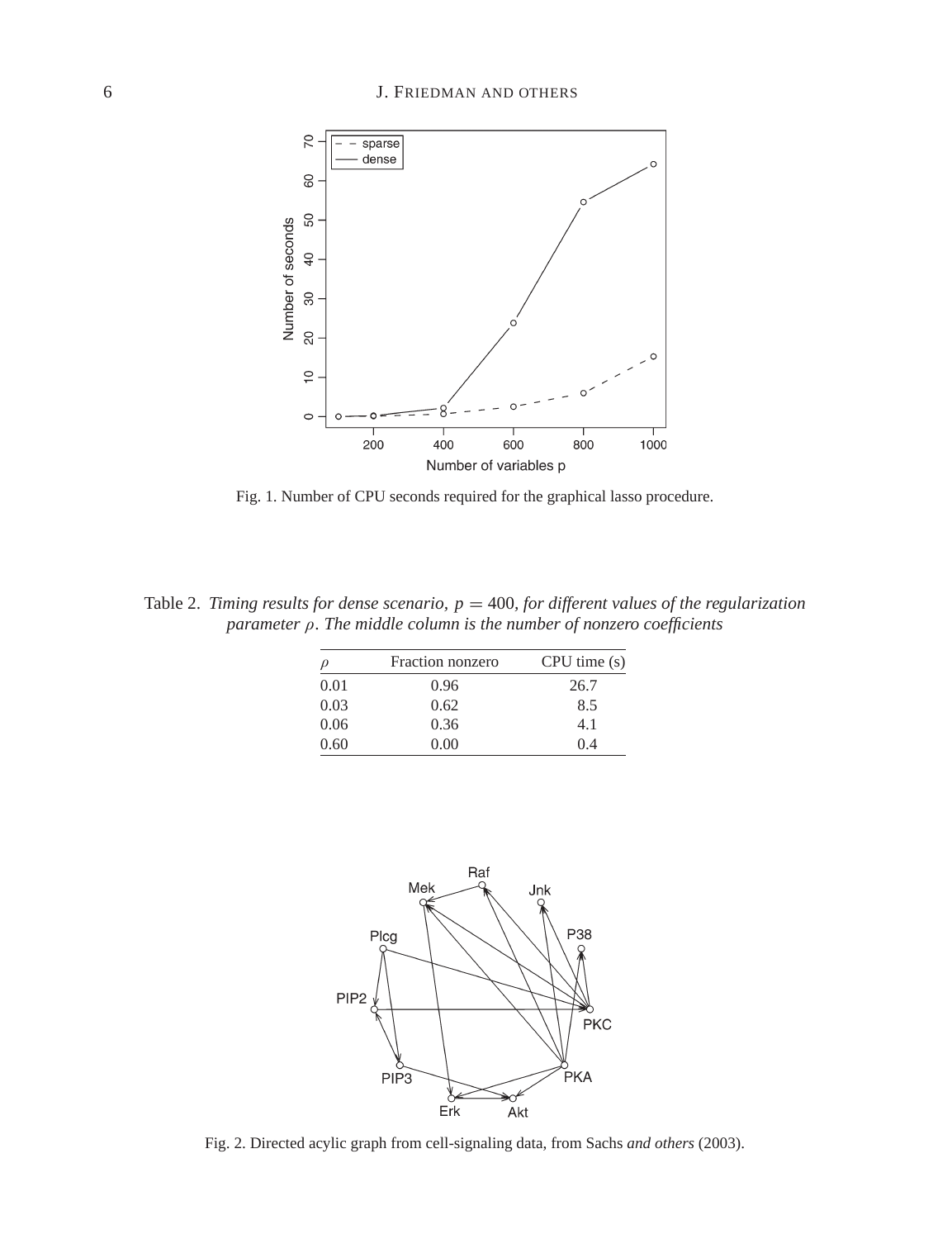

Fig. 1. Number of CPU seconds required for the graphical lasso procedure.

Table 2. *Timing results for dense scenario,*  $p = 400$ , for different values of the regularization *parameter* ρ*. The middle column is the number of nonzero coefficients*

|      | Fraction nonzero | CPU time(s) |  |
|------|------------------|-------------|--|
| 0.01 | 0.96             | 26.7        |  |
| 0.03 | 0.62             | 8.5         |  |
| 0.06 | 0.36             | 4.1         |  |
| 0.60 | 0.00             | 04          |  |



Fig. 2. Directed acylic graph from cell-signaling data, from Sachs *and others* (2003).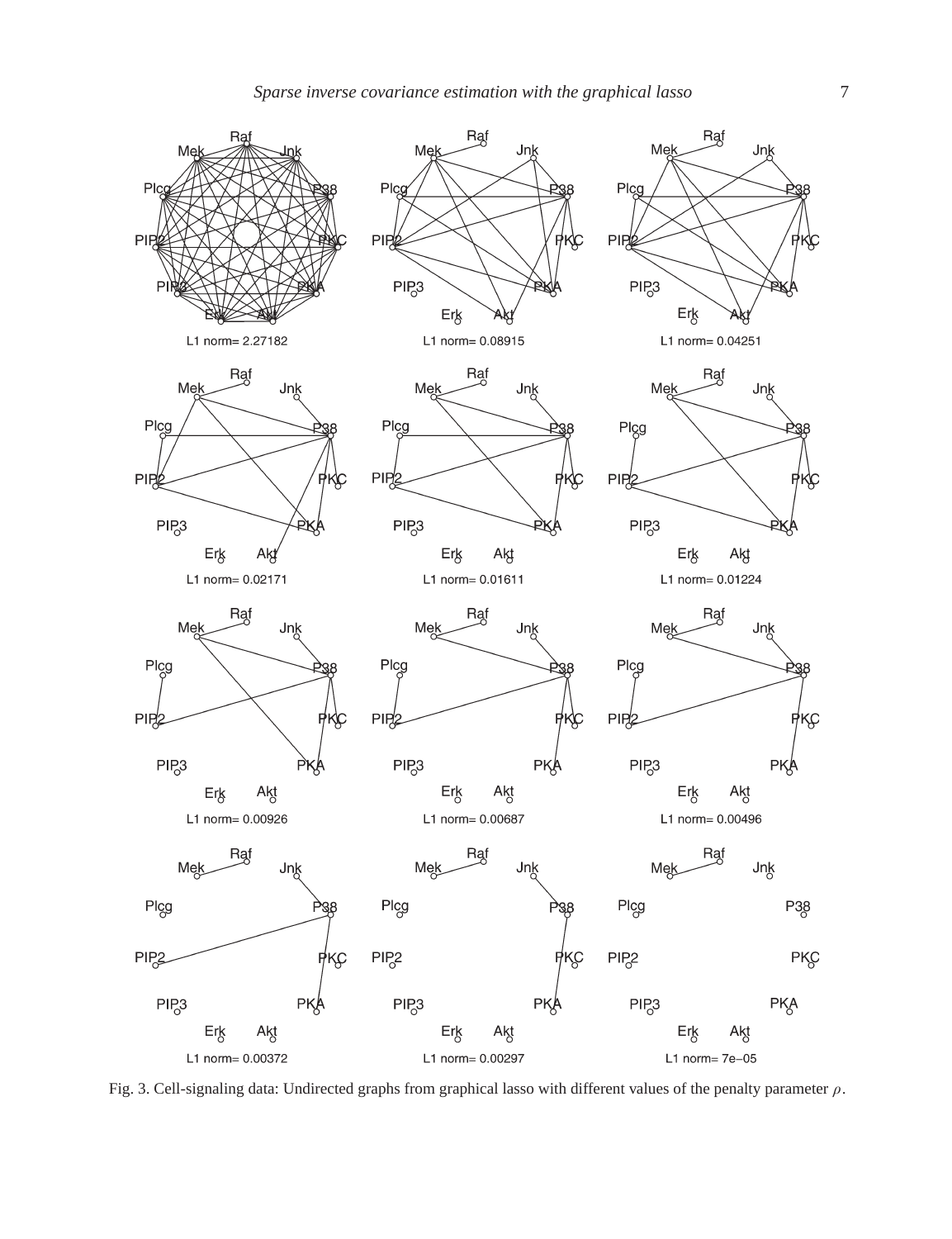

Fig. 3. Cell-signaling data: Undirected graphs from graphical lasso with different values of the penalty parameter  $\rho$ .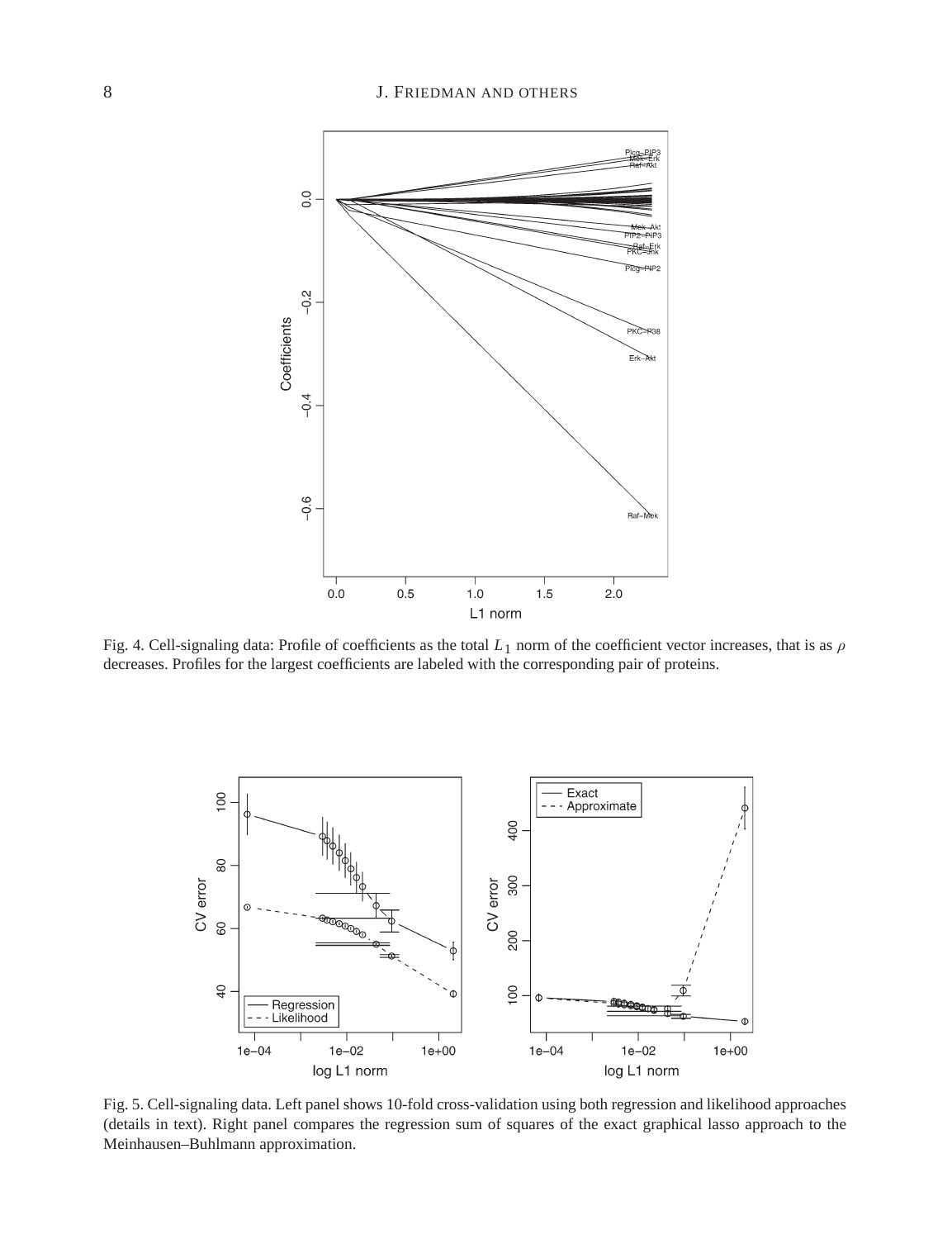## 8 J. FRIEDMAN AND OTHERS



Fig. 4. Cell-signaling data: Profile of coefficients as the total *L*1 norm of the coefficient vector increases, that is as ρ decreases. Profiles for the largest coefficients are labeled with the corresponding pair of proteins.

![](_page_7_Figure_3.jpeg)

Fig. 5. Cell-signaling data. Left panel shows 10-fold cross-validation using both regression and likelihood approaches (details in text). Right panel compares the regression sum of squares of the exact graphical lasso approach to the Meinhausen–Buhlmann approximation.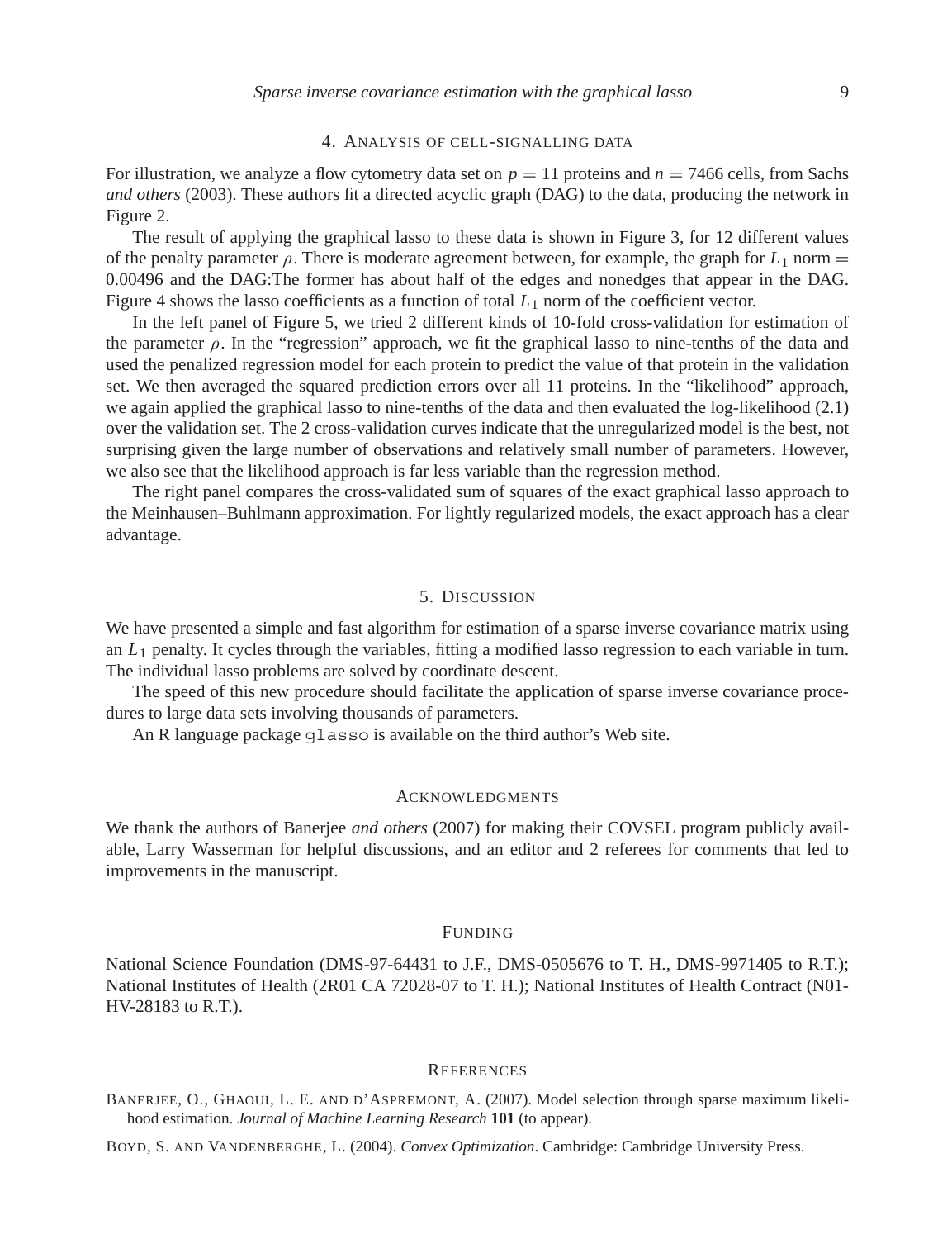#### 4. ANALYSIS OF CELL-SIGNALLING DATA

For illustration, we analyze a flow cytometry data set on  $p = 11$  proteins and  $n = 7466$  cells, from Sachs *and others* (2003). These authors fit a directed acyclic graph (DAG) to the data, producing the network in Figure 2.

The result of applying the graphical lasso to these data is shown in Figure 3, for 12 different values of the penalty parameter  $\rho$ . There is moderate agreement between, for example, the graph for  $L_1$  norm  $=$ 0.00496 and the DAG:The former has about half of the edges and nonedges that appear in the DAG. Figure 4 shows the lasso coefficients as a function of total  $L_1$  norm of the coefficient vector.

In the left panel of Figure 5, we tried 2 different kinds of 10-fold cross-validation for estimation of the parameter  $\rho$ . In the "regression" approach, we fit the graphical lasso to nine-tenths of the data and used the penalized regression model for each protein to predict the value of that protein in the validation set. We then averaged the squared prediction errors over all 11 proteins. In the "likelihood" approach, we again applied the graphical lasso to nine-tenths of the data and then evaluated the log-likelihood (2.1) over the validation set. The 2 cross-validation curves indicate that the unregularized model is the best, not surprising given the large number of observations and relatively small number of parameters. However, we also see that the likelihood approach is far less variable than the regression method.

The right panel compares the cross-validated sum of squares of the exact graphical lasso approach to the Meinhausen–Buhlmann approximation. For lightly regularized models, the exact approach has a clear advantage.

## 5. DISCUSSION

We have presented a simple and fast algorithm for estimation of a sparse inverse covariance matrix using an *L*<sup>1</sup> penalty. It cycles through the variables, fitting a modified lasso regression to each variable in turn. The individual lasso problems are solved by coordinate descent.

The speed of this new procedure should facilitate the application of sparse inverse covariance procedures to large data sets involving thousands of parameters.

An R language package glasso is available on the third author's Web site.

#### ACKNOWLEDGMENTS

We thank the authors of Banerjee *and others* (2007) for making their COVSEL program publicly available, Larry Wasserman for helpful discussions, and an editor and 2 referees for comments that led to improvements in the manuscript.

#### FUNDING

National Science Foundation (DMS-97-64431 to J.F., DMS-0505676 to T. H., DMS-9971405 to R.T.); National Institutes of Health (2R01 CA 72028-07 to T. H.); National Institutes of Health Contract (N01- HV-28183 to R.T.).

#### **REFERENCES**

BANERJEE, O., GHAOUI, L. E. AND D'ASPREMONT, A. (2007). Model selection through sparse maximum likelihood estimation. *Journal of Machine Learning Research* **101** (to appear).

BOYD, S. AND VANDENBERGHE, L. (2004). *Convex Optimization*. Cambridge: Cambridge University Press.